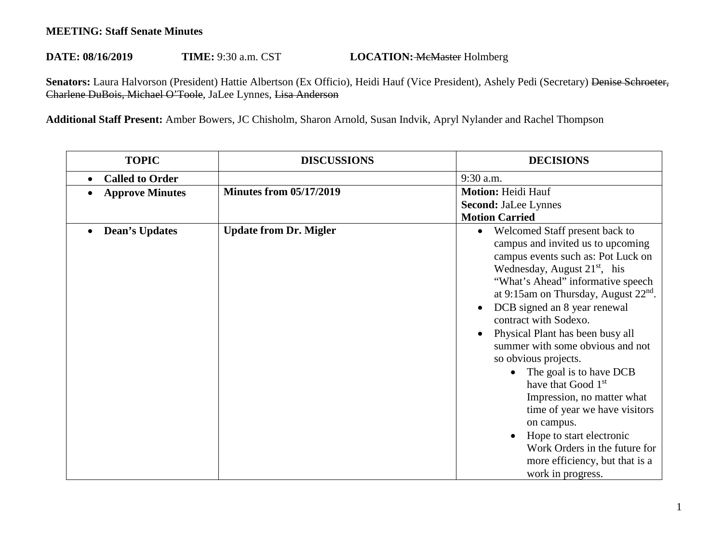## **MEETING: Staff Senate Minutes**

## DATE: 08/16/2019 **TIME:** 9:30 a.m. CST **LOCATION: McMaster Holmberg**

Senators: Laura Halvorson (President) Hattie Albertson (Ex Officio), Heidi Hauf (Vice President), Ashely Pedi (Secretary) <del>Denise Schroeter,</del> Charlene DuBois, Michael O'Toole, JaLee Lynnes, Lisa Anderson

**Additional Staff Present:** Amber Bowers, JC Chisholm, Sharon Arnold, Susan Indvik, Apryl Nylander and Rachel Thompson

| <b>TOPIC</b>                        | <b>DISCUSSIONS</b>             | <b>DECISIONS</b>                                                                                                                                                                                                                                                                                                                                                                                                                                                                                                                                                                                                                                               |
|-------------------------------------|--------------------------------|----------------------------------------------------------------------------------------------------------------------------------------------------------------------------------------------------------------------------------------------------------------------------------------------------------------------------------------------------------------------------------------------------------------------------------------------------------------------------------------------------------------------------------------------------------------------------------------------------------------------------------------------------------------|
| <b>Called to Order</b><br>$\bullet$ |                                | 9:30 a.m.                                                                                                                                                                                                                                                                                                                                                                                                                                                                                                                                                                                                                                                      |
| <b>Approve Minutes</b>              | <b>Minutes from 05/17/2019</b> | <b>Motion: Heidi Hauf</b><br><b>Second: JaLee Lynnes</b><br><b>Motion Carried</b>                                                                                                                                                                                                                                                                                                                                                                                                                                                                                                                                                                              |
| <b>Dean's Updates</b><br>$\bullet$  | <b>Update from Dr. Migler</b>  | Welcomed Staff present back to<br>$\bullet$<br>campus and invited us to upcoming<br>campus events such as: Pot Luck on<br>Wednesday, August $21st$ , his<br>"What's Ahead" informative speech<br>at 9:15am on Thursday, August $22nd$ .<br>DCB signed an 8 year renewal<br>contract with Sodexo.<br>Physical Plant has been busy all<br>summer with some obvious and not<br>so obvious projects.<br>The goal is to have DCB<br>have that Good 1 <sup>st</sup><br>Impression, no matter what<br>time of year we have visitors<br>on campus.<br>Hope to start electronic<br>Work Orders in the future for<br>more efficiency, but that is a<br>work in progress. |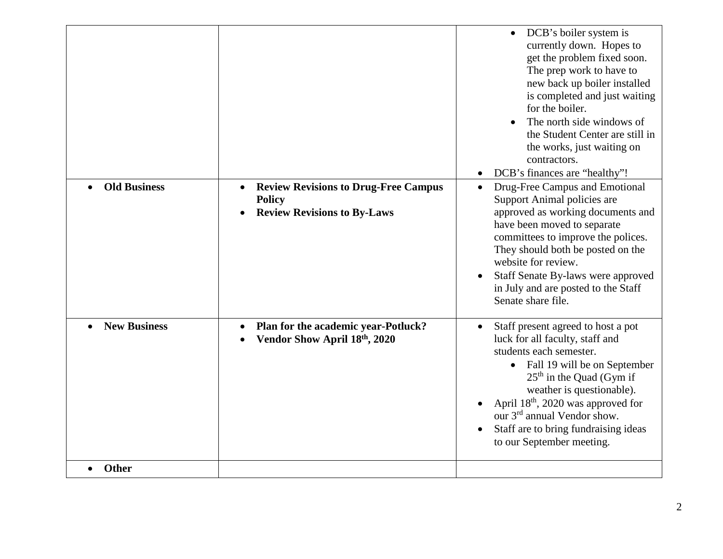|                     |                                                                                                    | DCB's boiler system is<br>currently down. Hopes to<br>get the problem fixed soon.<br>The prep work to have to<br>new back up boiler installed<br>is completed and just waiting<br>for the boiler.<br>The north side windows of<br>the Student Center are still in<br>the works, just waiting on<br>contractors.<br>DCB's finances are "healthy"!                |
|---------------------|----------------------------------------------------------------------------------------------------|-----------------------------------------------------------------------------------------------------------------------------------------------------------------------------------------------------------------------------------------------------------------------------------------------------------------------------------------------------------------|
| <b>Old Business</b> | <b>Review Revisions to Drug-Free Campus</b><br><b>Policy</b><br><b>Review Revisions to By-Laws</b> | Drug-Free Campus and Emotional<br>Support Animal policies are<br>approved as working documents and<br>have been moved to separate<br>committees to improve the polices.<br>They should both be posted on the<br>website for review.<br>Staff Senate By-laws were approved<br>in July and are posted to the Staff<br>Senate share file.                          |
| <b>New Business</b> | Plan for the academic year-Potluck?<br>Vendor Show April 18th, 2020                                | Staff present agreed to host a pot<br>luck for all faculty, staff and<br>students each semester.<br>• Fall 19 will be on September<br>$25th$ in the Quad (Gym if<br>weather is questionable).<br>April 18 <sup>th</sup> , 2020 was approved for<br>our 3 <sup>rd</sup> annual Vendor show.<br>Staff are to bring fundraising ideas<br>to our September meeting. |
| <b>Other</b>        |                                                                                                    |                                                                                                                                                                                                                                                                                                                                                                 |